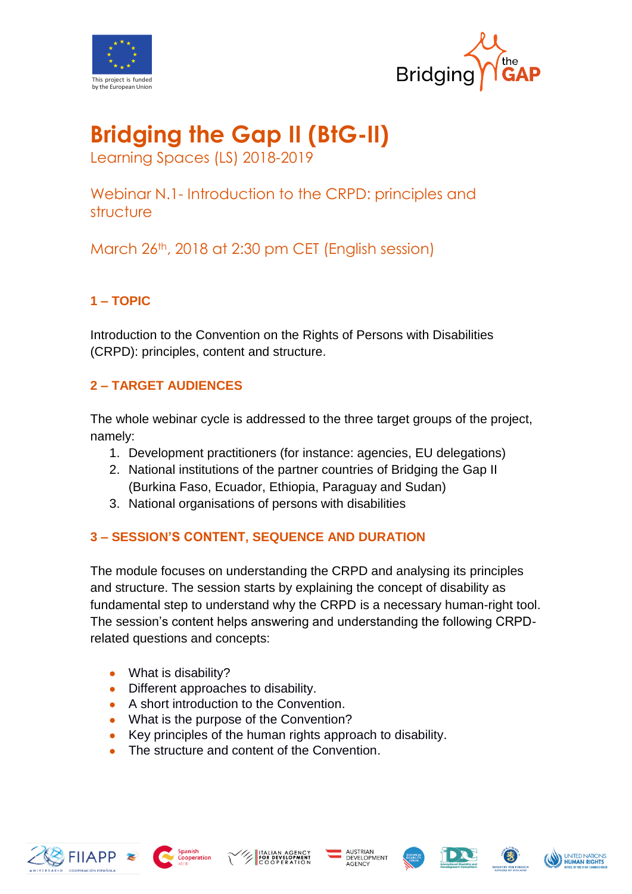



# **Bridging the Gap II (BtG-II)**

Learning Spaces (LS) 2018-2019

Webinar N.1- Introduction to the CRPD: principles and structure

March 26th, 2018 at 2:30 pm CET (English session)

# **1 – TOPIC**

Introduction to the Convention on the Rights of Persons with Disabilities (CRPD): principles, content and structure.

## **2 – TARGET AUDIENCES**

The whole webinar cycle is addressed to the three target groups of the project, namely:

- 1. Development practitioners (for instance: agencies, EU delegations)
- 2. National institutions of the partner countries of Bridging the Gap II (Burkina Faso, Ecuador, Ethiopia, Paraguay and Sudan)
- 3. National organisations of persons with disabilities

## **3 – SESSION'S CONTENT, SEQUENCE AND DURATION**

The module focuses on understanding the CRPD and analysing its principles and structure. The session starts by explaining the concept of disability as fundamental step to understand why the CRPD is a necessary human-right tool. The session's content helps answering and understanding the following CRPDrelated questions and concepts:

- What is disability?
- Different approaches to disability.
- A short introduction to the Convention.
- What is the purpose of the Convention?
- Key principles of the human rights approach to disability.
- The structure and content of the Convention.













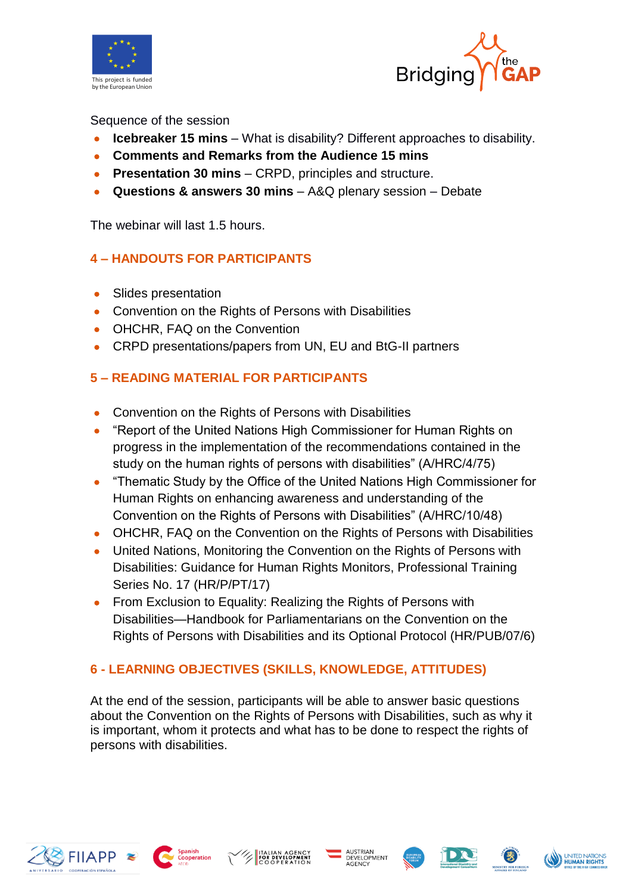



#### Sequence of the session

- **Icebreaker 15 mins** What is disability? Different approaches to disability.
- **Comments and Remarks from the Audience 15 mins**
- **Presentation 30 mins** CRPD, principles and structure.
- **Questions & answers 30 mins** A&Q plenary session Debate

The webinar will last 1.5 hours.

## **4 – HANDOUTS FOR PARTICIPANTS**

- Slides presentation
- Convention on the Rights of Persons with Disabilities
- OHCHR, FAQ on the Convention
- CRPD presentations/papers from UN, EU and BtG-II partners

## **5 – READING MATERIAL FOR PARTICIPANTS**

- Convention on the Rights of Persons with Disabilities
- "Report of the United Nations High Commissioner for Human Rights on progress in the implementation of the recommendations contained in the study on the human rights of persons with disabilities" (A/HRC/4/75)
- "Thematic Study by the Office of the United Nations High Commissioner for Human Rights on enhancing awareness and understanding of the Convention on the Rights of Persons with Disabilities" (A/HRC/10/48)
- OHCHR, FAQ on the Convention on the Rights of Persons with Disabilities
- United Nations, Monitoring the Convention on the Rights of Persons with Disabilities: Guidance for Human Rights Monitors, Professional Training Series No. 17 (HR/P/PT/17)
- From Exclusion to Equality: Realizing the Rights of Persons with Disabilities—Handbook for Parliamentarians on the Convention on the Rights of Persons with Disabilities and its Optional Protocol (HR/PUB/07/6)

## **6 - LEARNING OBJECTIVES (SKILLS, KNOWLEDGE, ATTITUDES)**

At the end of the session, participants will be able to answer basic questions about the Convention on the Rights of Persons with Disabilities, such as why it is important, whom it protects and what has to be done to respect the rights of persons with disabilities.













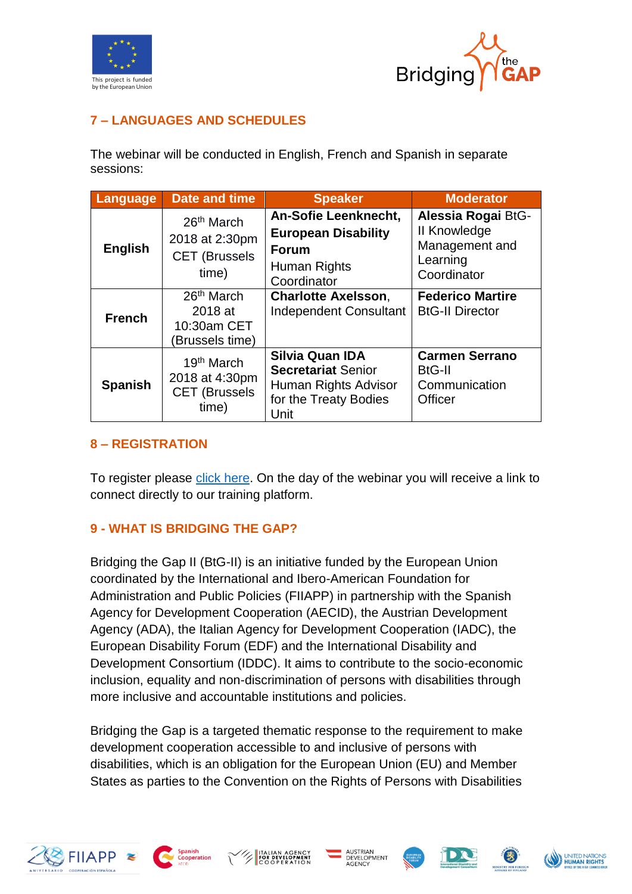



## **7 – LANGUAGES AND SCHEDULES**

The webinar will be conducted in English, French and Spanish in separate sessions:

| Language       | <b>Date and time</b>                                                      | <b>Speaker</b>                                                                                               | <b>Moderator</b>                                                                       |
|----------------|---------------------------------------------------------------------------|--------------------------------------------------------------------------------------------------------------|----------------------------------------------------------------------------------------|
| <b>English</b> | 26 <sup>th</sup> March<br>2018 at 2:30pm<br><b>CET (Brussels</b><br>time) | An-Sofie Leenknecht,<br><b>European Disability</b><br><b>Forum</b><br>Human Rights<br>Coordinator            | Alessia Rogai BtG-<br><b>II Knowledge</b><br>Management and<br>Learning<br>Coordinator |
| <b>French</b>  | 26 <sup>th</sup> March<br>2018 at<br>10:30am CET<br>(Brussels time)       | <b>Charlotte Axelsson,</b><br><b>Independent Consultant</b>                                                  | <b>Federico Martire</b><br><b>BtG-II Director</b>                                      |
| <b>Spanish</b> | 19 <sup>th</sup> March<br>2018 at 4:30pm<br><b>CET (Brussels</b><br>time) | <b>Silvia Quan IDA</b><br><b>Secretariat Senior</b><br>Human Rights Advisor<br>for the Treaty Bodies<br>Unit | <b>Carmen Serrano</b><br><b>BtG-II</b><br>Communication<br><b>Officer</b>              |

#### **8 – REGISTRATION**

To register please [click here.](https://attendee.gotowebinar.com/register/4922496354485135618) On the day of the webinar you will receive a link to connect directly to our training platform.

## **9 - WHAT IS BRIDGING THE GAP?**

Bridging the Gap II (BtG-II) is an initiative funded by the European Union coordinated by the International and Ibero-American Foundation for Administration and Public Policies (FIIAPP) in partnership with the Spanish Agency for Development Cooperation (AECID), the Austrian Development Agency (ADA), the Italian Agency for Development Cooperation (IADC), the European Disability Forum (EDF) and the International Disability and Development Consortium (IDDC). It aims to contribute to the socio-economic inclusion, equality and non-discrimination of persons with disabilities through more inclusive and accountable institutions and policies.

Bridging the Gap is a targeted thematic response to the requirement to make development cooperation accessible to and inclusive of persons with disabilities, which is an obligation for the European Union (EU) and Member States as parties to the Convention on the Rights of Persons with Disabilities